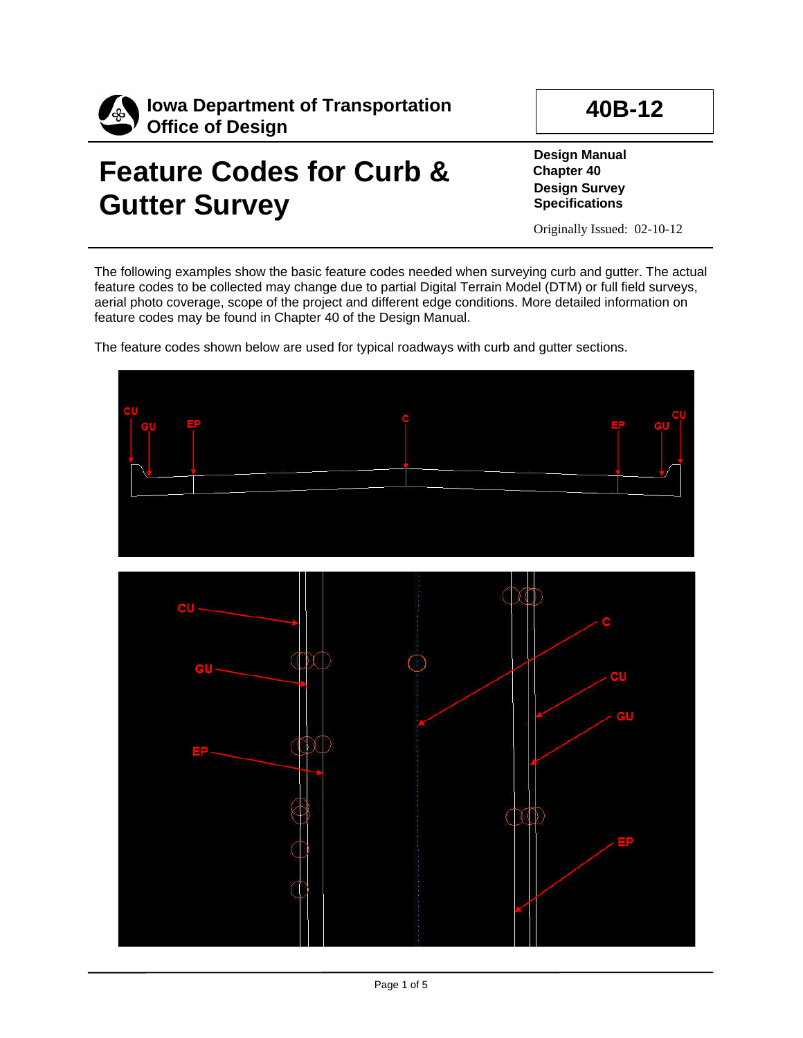

## **Feature Codes for Curb & Gutter Survey**

**40B-12**

**Design Manual Chapter 40 Design Survey Specifications**

Originally Issued: 02-10-12

The following examples show the basic feature codes needed when surveying curb and gutter. The actual feature codes to be collected may change due to partial Digital Terrain Model (DTM) or full field surveys, aerial photo coverage, scope of the project and different edge conditions. More detailed information on feature codes may be found in Chapter 40 of the Design Manual.

The feature codes shown below are used for typical roadways with curb and gutter sections.

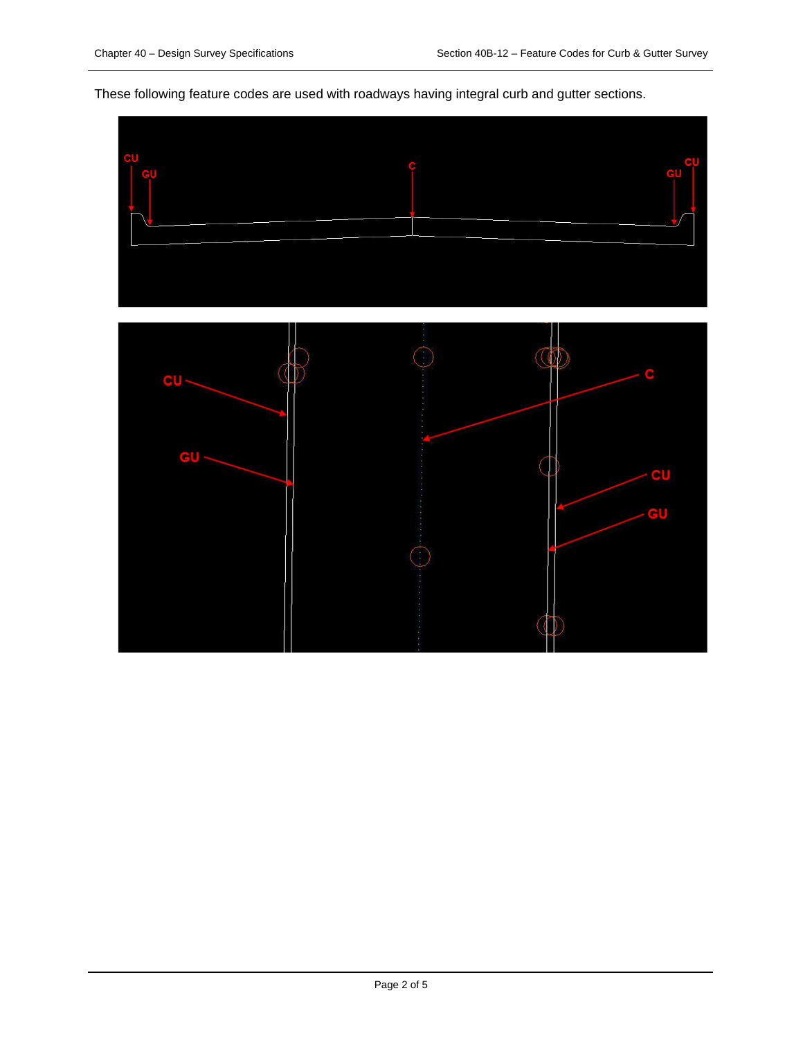These following feature codes are used with roadways having integral curb and gutter sections.

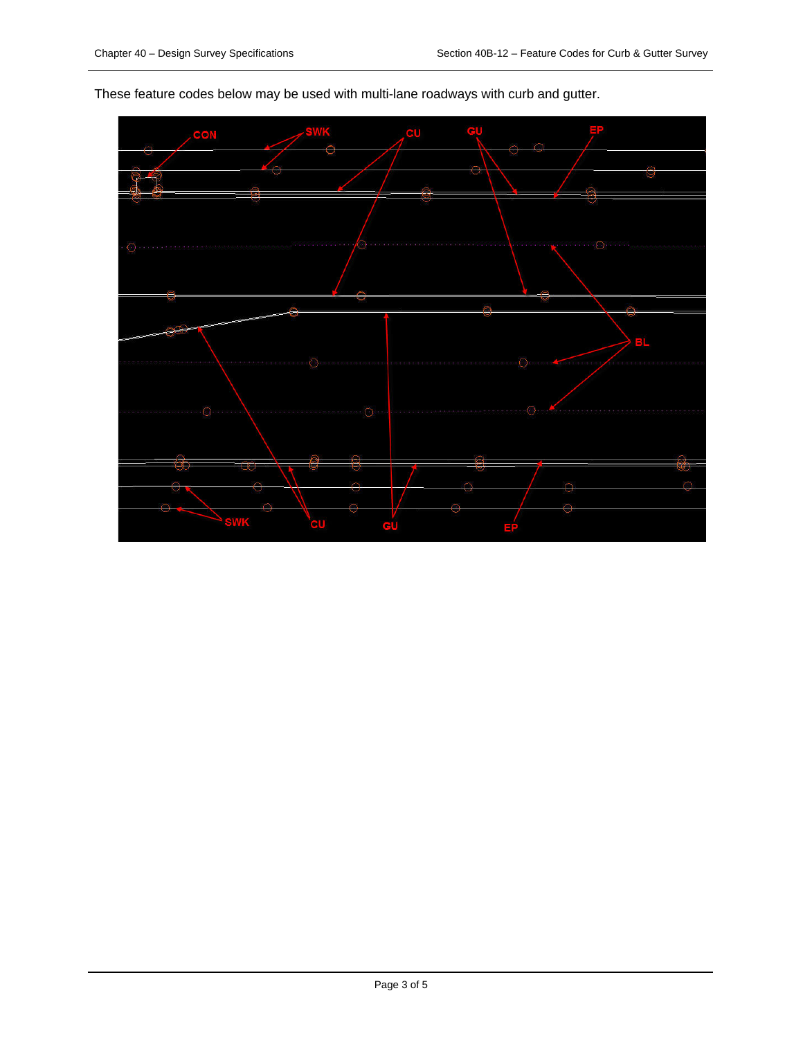

These feature codes below may be used with multi-lane roadways with curb and gutter.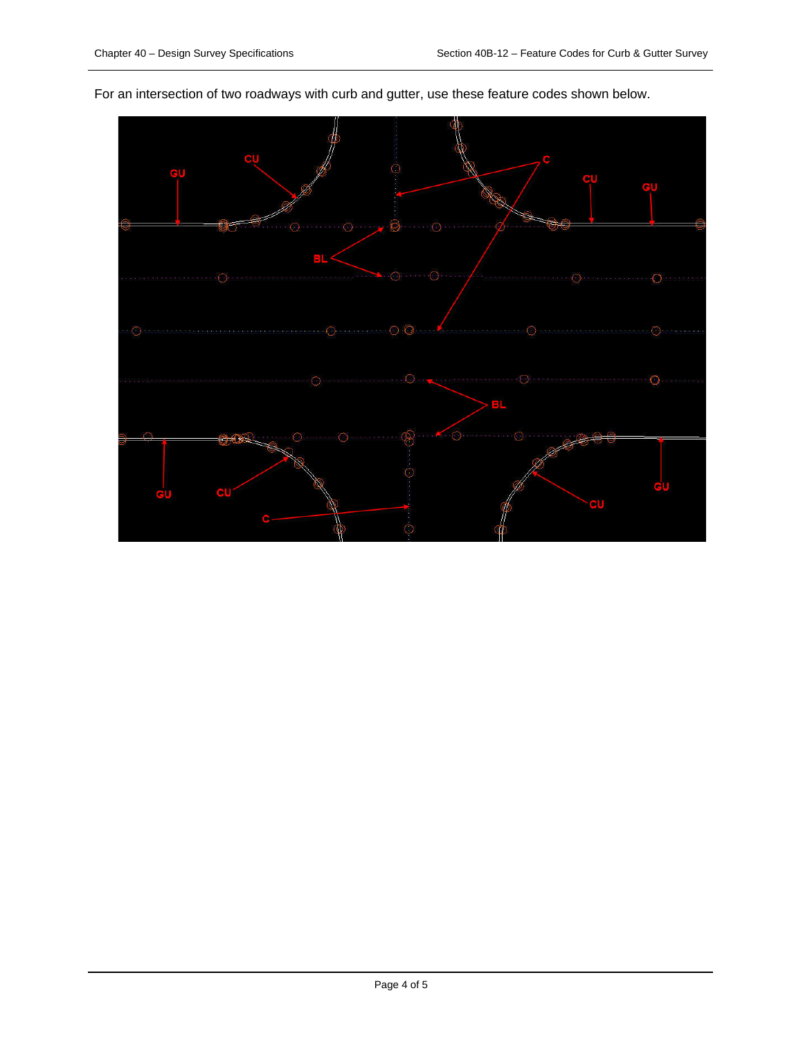

For an intersection of two roadways with curb and gutter, use these feature codes shown below.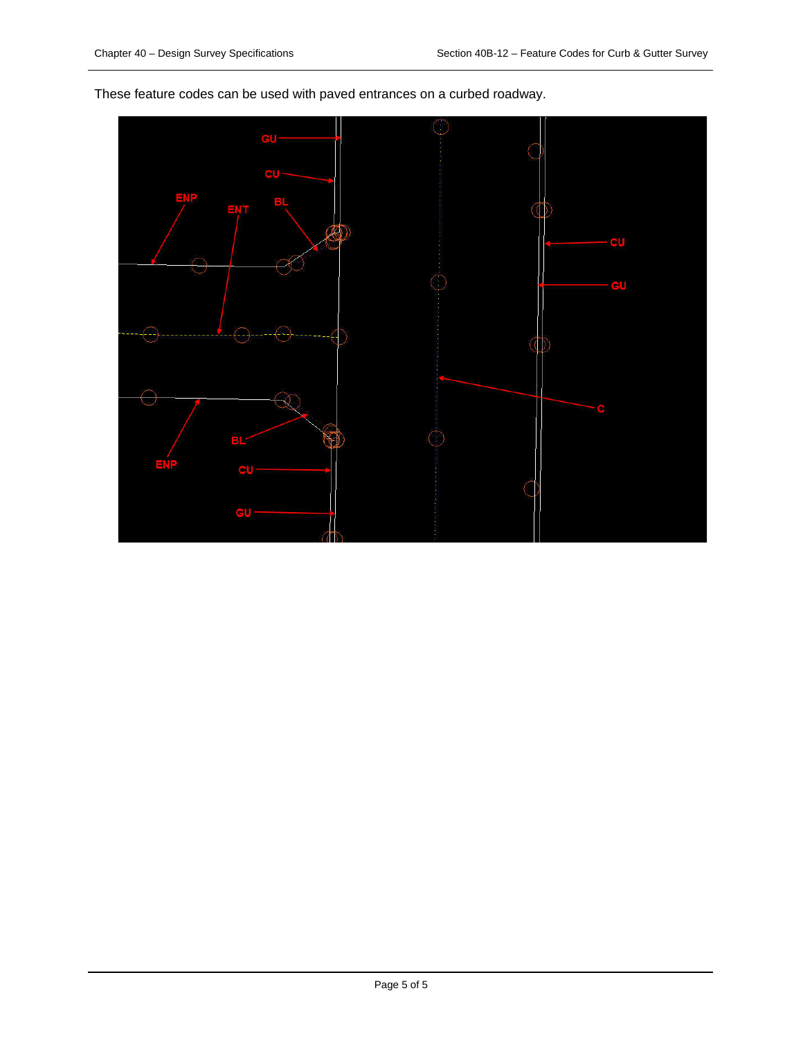These feature codes can be used with paved entrances on a curbed roadway.